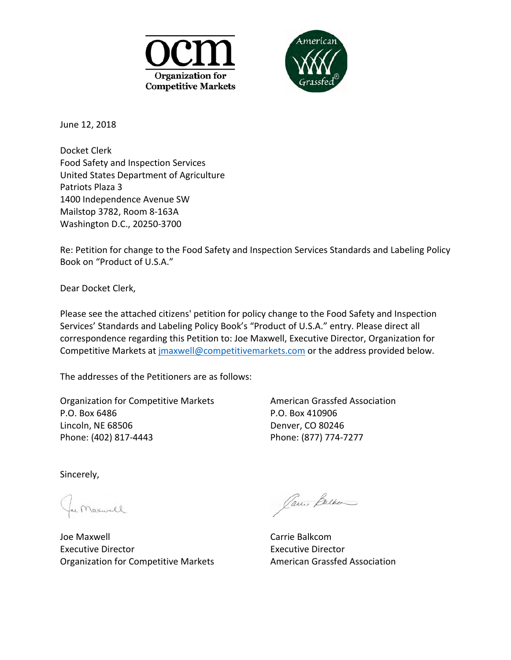



June 12, 2018

Food Safety and Inspection Services Food Safety and Inspection Services<br>United States Department of Agriculture Docket Clerk Patriots Plaza 3 1400 Independence Avenue SW Mailstop 3782, Room 8-163A Washington D.C., 20250-3700

 Book on "Product of U.S.A." Re: Petition for change to the Food Safety and Inspection Services Standards and Labeling Policy

Dear Docket Clerk,

 Please see the attached citizens' petition for policy change to the Food Safety and Inspection Competitive Markets at *jmaxwell@competitivemarkets.com* or the address provided below. Services' Standards and Labeling Policy Book's "Product of U.S.A." entry. Please direct all correspondence regarding this Petition to: Joe Maxwell, Executive Director, Organization for

The addresses of the Petitioners are as follows:

Organization for Competitive Markets **American Grassfed Association** P.O. Box 6486 Lincoln, NE 68506 Phone: (402) 817-4443

P.O. Box 410906 Denver, CO 80246 Phone: (877) 774-7277

Sincerely,

e Maxwell

Joe Maxwell Executive Director **Executive Director** Organization for Competitive Markets **American Grassfed Association** 

Jani Bulker

Carrie Balkcom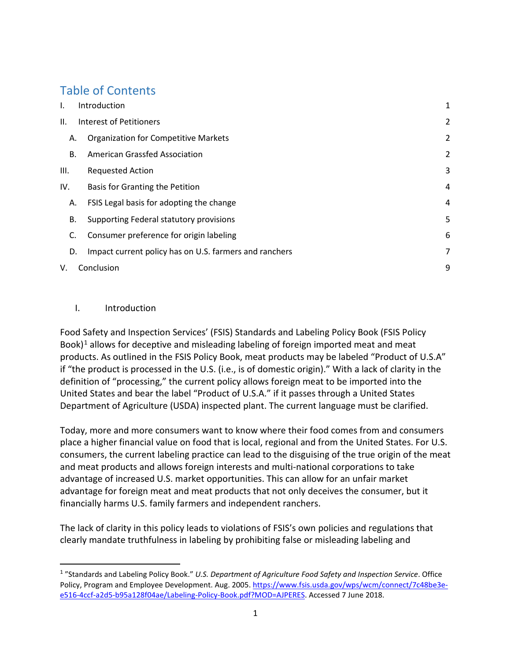# Table of Contents

| Τ.   | Introduction                                           | 1              |
|------|--------------------------------------------------------|----------------|
| Ш.   | Interest of Petitioners                                | $\overline{2}$ |
| А.   | <b>Organization for Competitive Markets</b>            | 2              |
| В.   | American Grassfed Association                          | $\overline{2}$ |
| III. | <b>Requested Action</b>                                | 3              |
| IV.  | Basis for Granting the Petition                        | 4              |
| Α.   | FSIS Legal basis for adopting the change               | 4              |
| В.   | Supporting Federal statutory provisions                | 5              |
| C.   | Consumer preference for origin labeling                | 6              |
| D.   | Impact current policy has on U.S. farmers and ranchers | 7              |
| V.   | Conclusion                                             |                |

#### <span id="page-1-0"></span>I. Introduction

l

 if "the product is processed in the U.S. (i.e., is of domestic origin)." With a lack of clarity in the Food Safety and Inspection Services' (FSIS) Standards and Labeling Policy Book (FSIS Policy Book)<sup>1</sup> allows for deceptive and misleading labeling of foreign imported meat and meat products. As outlined in the FSIS Policy Book, meat products may be labeled "Product of U.S.A" definition of "processing," the current policy allows foreign meat to be imported into the United States and bear the label "Product of U.S.A." if it passes through a United States Department of Agriculture (USDA) inspected plant. The current language must be clarified.

 place a higher financial value on food that is local, regional and from the United States. For U.S. consumers, the current labeling practice can lead to the disguising of the true origin of the meat advantage of increased U.S. market opportunities. This can allow for an unfair market advantage for foreign meat and meat products that not only deceives the consumer, but it Today, more and more consumers want to know where their food comes from and consumers and meat products and allows foreign interests and multi-national corporations to take financially harms U.S. family farmers and independent ranchers.

 The lack of clarity in this policy leads to violations of FSIS's own policies and regulations that clearly mandate truthfulness in labeling by prohibiting false or misleading labeling and

<span id="page-1-1"></span><sup>1 &</sup>quot;Standards and Labeling Policy Book." *U.S. Department of Agriculture Food Safety and Inspection Service*. Office Policy, Program and Employee Development. Aug. 2005. [https://www.fsis.usda.gov/wps/wcm/connect/7c48be3e](https://www.fsis.usda.gov/wps/wcm/connect/7c48be3e-e516-4ccf-a2d5-b95a128f04ae/Labeling-Policy-Book.pdf?MOD=AJPERES)[e516-4ccf-a2d5-b95a128f04ae/Labeling-Policy-Book.pdf?MOD=AJPERES.](https://www.fsis.usda.gov/wps/wcm/connect/7c48be3e-e516-4ccf-a2d5-b95a128f04ae/Labeling-Policy-Book.pdf?MOD=AJPERES) Accessed 7 June 2018.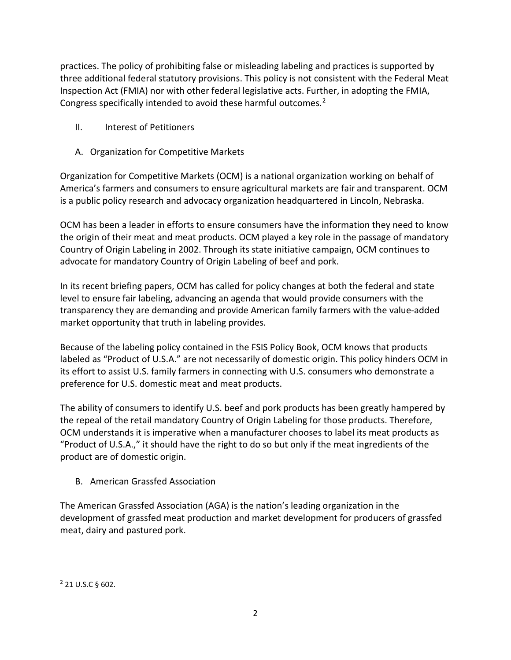three additional federal statutory provisions. This policy is not consistent with the Federal Meat Inspection Act (FMIA) nor with other federal legislative acts. Further, in adopting the FMIA, practices. The policy of prohibiting false or misleading labeling and practices is supported by Congress specifically intended to avoid these harmful outcomes.[2](#page-2-3)

- <span id="page-2-0"></span>II. Interest of Petitioners
- <span id="page-2-1"></span>A. Organization for Competitive Markets

 America's farmers and consumers to ensure agricultural markets are fair and transparent. OCM Organization for Competitive Markets (OCM) is a national organization working on behalf of is a public policy research and advocacy organization headquartered in Lincoln, Nebraska.

 OCM has been a leader in efforts to ensure consumers have the information they need to know the origin of their meat and meat products. OCM played a key role in the passage of mandatory Country of Origin Labeling in 2002. Through its state initiative campaign, OCM continues to advocate for mandatory Country of Origin Labeling of beef and pork.

 In its recent briefing papers, OCM has called for policy changes at both the federal and state transparency they are demanding and provide American family farmers with the value-added level to ensure fair labeling, advancing an agenda that would provide consumers with the market opportunity that truth in labeling provides.

 labeled as "Product of U.S.A." are not necessarily of domestic origin. This policy hinders OCM in its effort to assist U.S. family farmers in connecting with U.S. consumers who demonstrate a Because of the labeling policy contained in the FSIS Policy Book, OCM knows that products preference for U.S. domestic meat and meat products.

 The ability of consumers to identify U.S. beef and pork products has been greatly hampered by product are of domestic origin. the repeal of the retail mandatory Country of Origin Labeling for those products. Therefore, OCM understands it is imperative when a manufacturer chooses to label its meat products as "Product of U.S.A.," it should have the right to do so but only if the meat ingredients of the

<span id="page-2-2"></span>B. American Grassfed Association

meat, dairy and pastured pork.<br> $\frac{2}{2}$  21 U.S.C § 602. The American Grassfed Association (AGA) is the nation's leading organization in the development of grassfed meat production and market development for producers of grassfed

l

<span id="page-2-3"></span>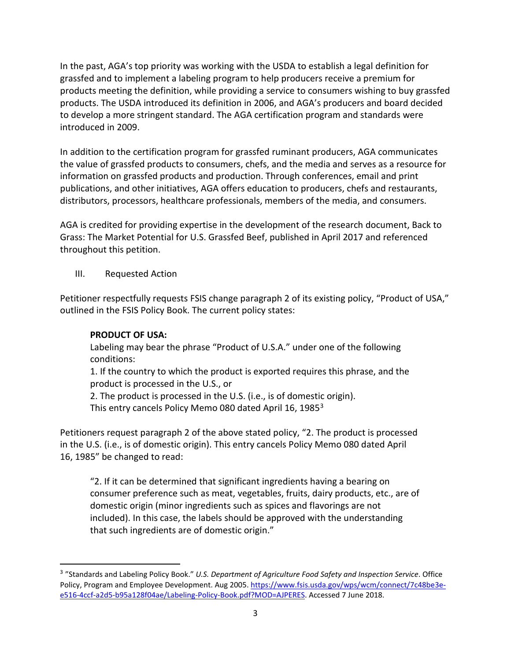In the past, AGA's top priority was working with the USDA to establish a legal definition for products meeting the definition, while providing a service to consumers wishing to buy grassfed grassfed and to implement a labeling program to help producers receive a premium for products. The USDA introduced its definition in 2006, and AGA's producers and board decided to develop a more stringent standard. The AGA certification program and standards were introduced in 2009.

 distributors, processors, healthcare professionals, members of the media, and consumers. In addition to the certification program for grassfed ruminant producers, AGA communicates the value of grassfed products to consumers, chefs, and the media and serves as a resource for information on grassfed products and production. Through conferences, email and print publications, and other initiatives, AGA offers education to producers, chefs and restaurants,

 AGA is credited for providing expertise in the development of the research document, Back to Grass: The Market Potential for U.S. Grassfed Beef, published in April 2017 and referenced throughout this petition.

### <span id="page-3-0"></span>III. Requested Action

 Petitioner respectfully requests FSIS change paragraph 2 of its existing policy, "Product of USA," outlined in the FSIS Policy Book. The current policy states:

## **PRODUCT OF USA:**

l

Labeling may bear the phrase "Product of U.S.A." under one of the following conditions:

1. If the country to which the product is exported requires this phrase, and the product is processed in the U.S., or

2. The product is processed in the U.S. (i.e., is of domestic origin).

This entry cancels Policy Memo 080 dated April 16, 1985<sup>3</sup>

 Petitioners request paragraph 2 of the above stated policy, "2. The product is processed in the U.S. (i.e., is of domestic origin). This entry cancels Policy Memo 080 dated April 16, 1985" be changed to read:

 "2. If it can be determined that significant ingredients having a bearing on consumer preference such as meat, vegetables, fruits, dairy products, etc., are of domestic origin (minor ingredients such as spices and flavorings are not included). In this case, the labels should be approved with the understanding that such ingredients are of domestic origin."

<span id="page-3-1"></span>Policy, Program and Employee Development. Aug 2005[. https://www.fsis.usda.gov/wps/wcm/connect/7c48be3e](https://www.fsis.usda.gov/wps/wcm/connect/7c48be3e-e516-4ccf-a2d5-b95a128f04ae/Labeling-Policy-Book.pdf?MOD=AJPERES)e516-4ccf-a2d5-b95a128f04ae/Labeling-Policy-Book.pdf?MOD=AJPERES</u>. Accessed 7 June 2018.<br>3 3 "Standards and Labeling Policy Book." *U.S. Department of Agriculture Food Safety and Inspection Service*. Office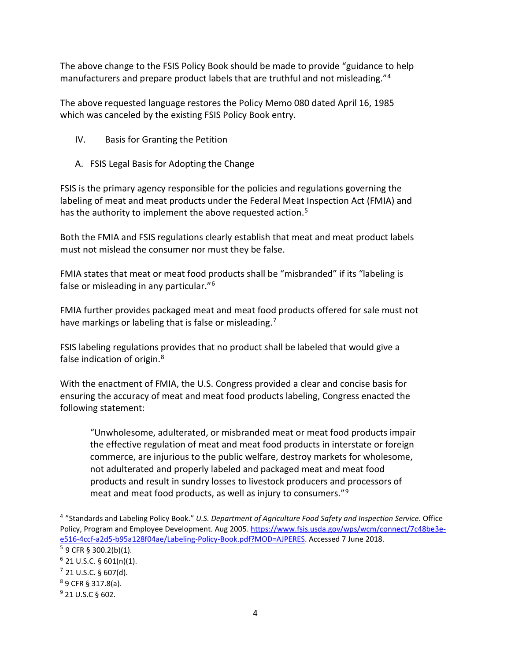The above change to the FSIS Policy Book should be made to provide "guidance to help manufacturers and prepare product labels that are truthful and not misleading."[4](#page-4-2)

The above requested language restores the Policy Memo 080 dated April 16, 1985 which was canceled by the existing FSIS Policy Book entry.

- <span id="page-4-0"></span>IV. Basis for Granting the Petition
- <span id="page-4-1"></span>A. FSIS Legal Basis for Adopting the Change

 labeling of meat and meat products under the Federal Meat Inspection Act (FMIA) and has the authority to implement the above requested action.<sup>[5](#page-4-3)</sup> FSIS is the primary agency responsible for the policies and regulations governing the

must not mislead the consumer nor must they be false. Both the FMIA and FSIS regulations clearly establish that meat and meat product labels

FMIA states that meat or meat food products shall be "misbranded" if its "labeling is false or misleading in any particular."[6](#page-4-4) 

FMIA further provides packaged meat and meat food products offered for sale must not have markings or labeling that is false or misleading.<sup>[7](#page-4-5)</sup>

FSIS labeling regulations provides that no product shall be labeled that would give a false indication of origin.<sup>8</sup>

 With the enactment of FMIA, the U.S. Congress provided a clear and concise basis for ensuring the accuracy of meat and meat food products labeling, Congress enacted the following statement:

 commerce, are injurious to the public welfare, destroy markets for wholesome, "Unwholesome, adulterated, or misbranded meat or meat food products impair the effective regulation of meat and meat food products in interstate or foreign not adulterated and properly labeled and packaged meat and meat food products and result in sundry losses to livestock producers and processors of meat and meat food products, as well as injury to consumers."[9](#page-4-7) 

 $\overline{a}$ 

<span id="page-4-2"></span>Policy, Program and Employee Development. Aug 2005[. https://www.fsis.usda.gov/wps/wcm/connect/7c48be3e-](https://www.fsis.usda.gov/wps/wcm/connect/7c48be3e-e516-4ccf-a2d5-b95a128f04ae/Labeling-Policy-Book.pdf?MOD=AJPERES)4 "Standards and Labeling Policy Book." *U.S. Department of Agriculture Food Safety and Inspection Service*. Office e516-4ccf-a2d5-b95a128f04ae/Labeling-Policy-Book.pdf?MOD=AJPERES</u>. Accessed 7 June 2018.<br><sup>5</sup> 9 CFR § 300.2(b)(1).

<span id="page-4-4"></span><span id="page-4-3"></span> $6$  21 U.S.C. § 601(n)(1).

<span id="page-4-5"></span> $7$  21 U.S.C. § 607(d).

<span id="page-4-6"></span><sup>8 9</sup> CFR § 317.8(a).

<span id="page-4-7"></span> $9$  21 U.S.C § 602.  $9$  21 U.S.C § 602. 4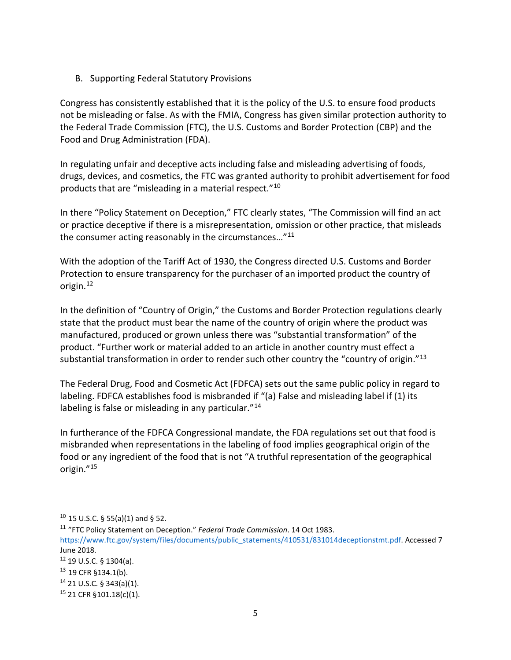<span id="page-5-0"></span>B. Supporting Federal Statutory Provisions

 Congress has consistently established that it is the policy of the U.S. to ensure food products not be misleading or false. As with the FMIA, Congress has given similar protection authority to the Federal Trade Commission (FTC), the U.S. Customs and Border Protection (CBP) and the Food and Drug Administration (FDA).

In regulating unfair and deceptive acts including false and misleading advertising of foods, drugs, devices, and cosmetics, the FTC was granted authority to prohibit advertisement for food products that are "misleading in a material respect."[10](#page-5-1)

 In there "Policy Statement on Deception," FTC clearly states, "The Commission will find an act or practice deceptive if there is a misrepresentation, omission or other practice, that misleads the consumer acting reasonably in the circumstances..."<sup>11</sup>

With the adoption of the Tariff Act of 1930, the Congress directed U.S. Customs and Border Protection to ensure transparency for the purchaser of an imported product the country of origin.[12](#page-5-3) 

 state that the product must bear the name of the country of origin where the product was manufactured, produced or grown unless there was "substantial transformation" of the In the definition of "Country of Origin," the Customs and Border Protection regulations clearly product. "Further work or material added to an article in another country must effect a substantial transformation in order to render such other country the "country of origin." $^{13}$  $^{13}$  $^{13}$ 

 The Federal Drug, Food and Cosmetic Act (FDFCA) sets out the same public policy in regard to labeling. FDFCA establishes food is misbranded if "(a) False and misleading label if (1) its labeling is false or misleading in any particular."<sup>14</sup>

 misbranded when representations in the labeling of food implies geographical origin of the food or any ingredient of the food that is not "A truthful representation of the geographical In furtherance of the FDFCA Congressional mandate, the FDA regulations set out that food is origin.["15](#page-5-6) 

 $\overline{a}$ 

<span id="page-5-2"></span><span id="page-5-1"></span><sup>&</sup>lt;sup>10</sup> 15 U.S.C. § 55(a)(1) and § 52.<br><sup>11</sup> "FTC Policy Statement on Deception." *Federal Trade Commission*. 14 Oct 1983. [https://www.ftc.gov/system/files/documents/public\\_statements/410531/831014deceptionstmt.pdf.](https://www.ftc.gov/system/files/documents/public_statements/410531/831014deceptionstmt.pdf) Accessed 7 June 2018.

<span id="page-5-4"></span><span id="page-5-3"></span> $12$  19 U.S.C. § 1304(a).

<sup>&</sup>lt;sup>12</sup> 19 U.S.C. § 1304(a).<br><sup>13</sup> 19 CFR §134.1(b).<br><sup>14</sup> 21 U.S.C. § 343(a)(1).<br><sup>15</sup> 21 CFR §101.18(c)(1).

<span id="page-5-5"></span>

<span id="page-5-6"></span>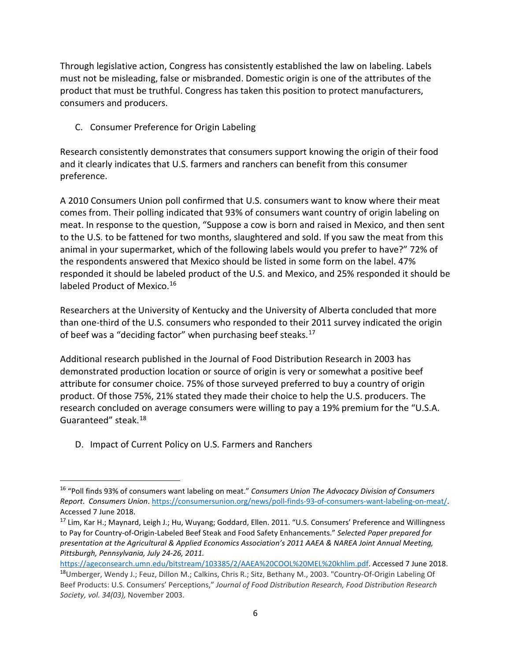consumers and producers. Through legislative action, Congress has consistently established the law on labeling. Labels must not be misleading, false or misbranded. Domestic origin is one of the attributes of the product that must be truthful. Congress has taken this position to protect manufacturers,

<span id="page-6-0"></span>C. Consumer Preference for Origin Labeling

preference. Research consistently demonstrates that consumers support knowing the origin of their food and it clearly indicates that U.S. farmers and ranchers can benefit from this consumer

 to the U.S. to be fattened for two months, slaughtered and sold. If you saw the meat from this animal in your supermarket, which of the following labels would you prefer to have?" 72% of labeled Product of Mexico.<sup>16</sup> A 2010 Consumers Union poll confirmed that U.S. consumers want to know where their meat comes from. Their polling indicated that 93% of consumers want country of origin labeling on meat. In response to the question, "Suppose a cow is born and raised in Mexico, and then sent the respondents answered that Mexico should be listed in some form on the label. 47% responded it should be labeled product of the U.S. and Mexico, and 25% responded it should be

 than one-third of the U.S. consumers who responded to their 2011 survey indicated the origin Researchers at the University of Kentucky and the University of Alberta concluded that more of beef was a "deciding factor" when purchasing beef steaks.<sup>[17](#page-6-3)</sup>

 demonstrated production location or source of origin is very or somewhat a positive beef attribute for consumer choice. 75% of those surveyed preferred to buy a country of origin Guaranteed" steak.<sup>[18](#page-6-4)</sup> Additional research published in the Journal of Food Distribution Research in 2003 has product. Of those 75%, 21% stated they made their choice to help the U.S. producers. The research concluded on average consumers were willing to pay a 19% premium for the "U.S.A.

<span id="page-6-1"></span>D. Impact of Current Policy on U.S. Farmers and Ranchers

l

<span id="page-6-2"></span><sup>16 &</sup>quot;Poll finds 93% of consumers want labeling on meat." *Consumers Union The Advocacy Division of Consumers Report*. *Consumers Union*. [https://consumersunion.org/news/poll-finds-93-of-consumers-want-labeling-on-meat/.](https://consumersunion.org/news/poll-finds-93-of-consumers-want-labeling-on-meat/) Accessed 7 June 2018.

<span id="page-6-3"></span><sup>&</sup>lt;sup>17</sup> Lim, Kar H.; Maynard, Leigh J.; Hu, Wuyang; Goddard, Ellen. 2011. "U.S. Consumers' Preference and Willingness to Pay for Country-of-Origin-Labeled Beef Steak and Food Safety Enhancements." *Selected Paper prepared for presentation at the Agricultural & Applied Economics Association's 2011 AAEA & NAREA Joint Annual Meeting, Pittsburgh, Pennsylvania, July 24-26, 2011.* 

<span id="page-6-4"></span> *Society, vol. 34(03),* November 2003. 6 [https://ageconsearch.umn.edu/bitstream/103385/2/AAEA%20COOL%20MEL%20khlim.pdf.](https://ageconsearch.umn.edu/bitstream/103385/2/AAEA%20COOL%20MEL%20khlim.pdf) Accessed 7 June 2018. 18Umberger, Wendy J.; Feuz, Dillon M.; Calkins, Chris R.; Sitz, Bethany M., 2003. "Country-Of-Origin Labeling Of Beef Products: U.S. Consumers' Perceptions," *Journal of Food Distribution Research, Food Distribution Research*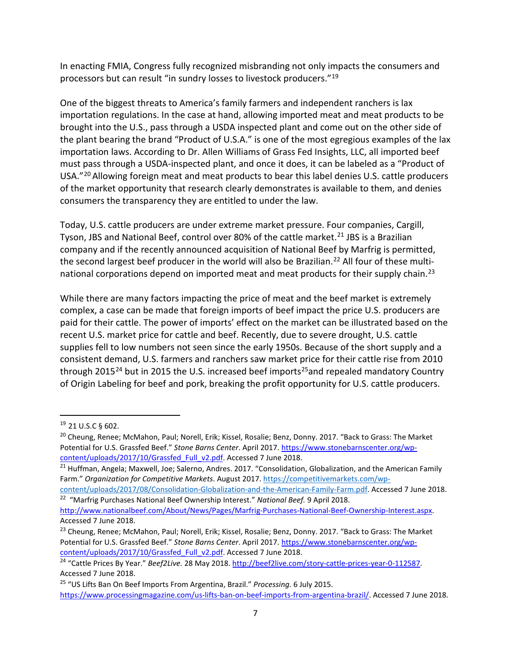processors but can result "in sundry losses to livestock producers."<sup>19</sup> In enacting FMIA, Congress fully recognized misbranding not only impacts the consumers and

 One of the biggest threats to America's family farmers and independent ranchers is lax importation regulations. In the case at hand, allowing imported meat and meat products to be brought into the U.S., pass through a USDA inspected plant and come out on the other side of the plant bearing the brand "Product of U.S.A." is one of the most egregious examples of the lax must pass through a USDA-inspected plant, and once it does, it can be labeled as a "Product of USA."<sup>20</sup> Allowing foreign meat and meat products to bear this label denies U.S. cattle producers of the market opportunity that research clearly demonstrates is available to them, and denies importation laws. According to Dr. Allen Williams of Grass Fed Insights, LLC, all imported beef consumers the transparency they are entitled to under the law.

the second largest beef producer in the world will also be Brazilian.<sup>22</sup> All four of these multi-national corporations depend on imported meat and meat products for their supply chain.<sup>[23](#page-7-4)</sup> Today, U.S. cattle producers are under extreme market pressure. Four companies, Cargill, Tyson, JBS and National Beef, control over 80% of the cattle market.<sup>[21](#page-7-2)</sup> JBS is a Brazilian company and if the recently announced acquisition of National Beef by Marfrig is permitted,

 complex, a case can be made that foreign imports of beef impact the price U.S. producers are supplies fell to low numbers not seen since the early 1950s. Because of the short supply and a consistent demand, U.S. farmers and ranchers saw market price for their cattle rise from 2010 of Origin Labeling for beef and pork, breaking the profit opportunity for U.S. cattle producers. 19 21 U.S.C § 602. While there are many factors impacting the price of meat and the beef market is extremely paid for their cattle. The power of imports' effect on the market can be illustrated based on the recent U.S. market price for cattle and beef. Recently, due to severe drought, U.S. cattle through 2015<sup>24</sup> but in 2015 the U.S. increased beef imports<sup>[25](#page-7-6)</sup> and repealed mandatory Country

 $\overline{\phantom{a}}$ 

<span id="page-7-0"></span>

<span id="page-7-1"></span>content/uploads/2017/10/Grassfed Full v2.pdf. Accessed 7 June 2018. <sup>20</sup> Cheung, Renee; McMahon, Paul; Norell, Erik; Kissel, Rosalie; Benz, Donny. 2017. "Back to Grass: The Market Potential for U.S. Grassfed Beef." *Stone Barns Center*. April 2017. [https://www.stonebarnscenter.org/wp-](https://www.stonebarnscenter.org/wp-content/uploads/2017/10/Grassfed_Full_v2.pdf)

<span id="page-7-2"></span><sup>&</sup>lt;sup>21</sup> Huffman, Angela; Maxwell, Joe; Salerno, Andres. 2017. "Consolidation, Globalization, and the American Family Farm." *Organization for Competitive Markets*. August 2017[. https://competitivemarkets.com/wp](https://competitivemarkets.com/wp-content/uploads/2017/08/Consolidation-Globalization-and-the-American-Family-Farm.pdf)[content/uploads/2017/08/Consolidation-Globalization-and-the-American-Family-Farm.pdf.](https://competitivemarkets.com/wp-content/uploads/2017/08/Consolidation-Globalization-and-the-American-Family-Farm.pdf) Accessed 7 June 2018.

<span id="page-7-3"></span><sup>&</sup>lt;sup>22</sup> "Marfrig Purchases National Beef Ownership Interest." National Beef. 9 April 2018. [http://www.nationalbeef.com/About/News/Pages/Marfrig-Purchases-National-Beef-Ownership-Interest.aspx.](http://www.nationalbeef.com/About/News/Pages/Marfrig-Purchases-National-Beef-Ownership-Interest.aspx) Accessed 7 June 2018.

<span id="page-7-4"></span><sup>&</sup>lt;sup>23</sup> Cheung, Renee; McMahon, Paul; Norell, Erik; Kissel, Rosalie; Benz, Donny. 2017. "Back to Grass: The Market Potential for U.S. Grassfed Beef." *Stone Barns Center*. April 2017. [https://www.stonebarnscenter.org/wp-](https://www.stonebarnscenter.org/wp-content/uploads/2017/10/Grassfed_Full_v2.pdf)

<span id="page-7-5"></span>[content/uploads/2017/10/Grassfed\\_Full\\_v2.pdf.](https://www.stonebarnscenter.org/wp-content/uploads/2017/10/Grassfed_Full_v2.pdf) Accessed 7 June 2018. 24 "Cattle-prices-year-0-112587. <sup>24</sup> "Cattle Prices By Year." *Beef2Live.* 28 May 2018[. http://beef2live.com/story-cattle-prices-year-0-112587.](http://beef2live.com/story-cattle-prices-year-0-112587) Accessed 7 June 2018.

<span id="page-7-6"></span><sup>25 &</sup>quot;US Lifts Ban On Beef Imports From Argentina, Brazil." *Processing.* 6 July 2015. [https://www.processingmagazine.com/us-lifts-ban-on-beef-imports-from-argentina-brazil/.](https://www.processingmagazine.com/us-lifts-ban-on-beef-imports-from-argentina-brazil/) Accessed 7 June 2018.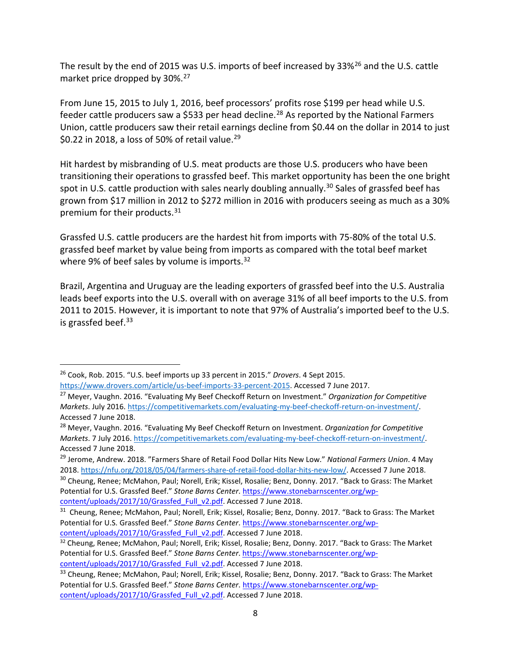market price dropped by 30%.<sup>[27](#page-8-1)</sup> The result by the end of 2015 was U.S. imports of beef increased by 33%<sup>[26](#page-8-0)</sup> and the U.S. cattle

 Union, cattle producers saw their retail earnings decline from \$0.44 on the dollar in 2014 to just \$0.22 in 2018, a loss of 50% of retail value.<sup>[29](#page-8-3)</sup> From June 15, 2015 to July 1, 2016, beef processors' profits rose \$199 per head while U.S. feeder cattle producers saw a \$533 per head decline.<sup>[28](#page-8-2)</sup> As reported by the National Farmers

spot in U.S. cattle production with sales nearly doubling annually.<sup>[30](#page-8-4)</sup> Sales of grassfed beef has Hit hardest by misbranding of U.S. meat products are those U.S. producers who have been transitioning their operations to grassfed beef. This market opportunity has been the one bright grown from \$17 million in 2012 to \$272 million in 2016 with producers seeing as much as a 30% premium for their products.<sup>[31](#page-8-5)</sup>

 Grassfed U.S. cattle producers are the hardest hit from imports with 75-80% of the total U.S. grassfed beef market by value being from imports as compared with the total beef market where 9% of beef sales by volume is imports.<sup>[32](#page-8-6)</sup>

 Brazil, Argentina and Uruguay are the leading exporters of grassfed beef into the U.S. Australia leads beef exports into the U.S. overall with on average 31% of all beef imports to the U.S. from 2011 to 2015. However, it is important to note that 97% of Australia's imported beef to the U.S. is grassfed beef. $33$ 

 $\overline{a}$ 

<span id="page-8-0"></span><sup>&</sup>lt;sup>26</sup> Cook, Rob. 2015. "U.S. beef imports up 33 percent in 2015." *Drovers*. 4 Sept 2015.<br>https://www.drovers.com/article/us-beef-imports-33-percent-2015. Accessed 7 June 2017.

<span id="page-8-1"></span><sup>&</sup>lt;sup>27</sup> Meyer, Vaughn. 2016. "Evaluating My Beef Checkoff Return on Investment." *Organization for Competitive Markets*. July 2016. [https://competitivemarkets.com/evaluating-my-beef-checkoff-return-on-investment/.](https://competitivemarkets.com/evaluating-my-beef-checkoff-return-on-investment/) Accessed 7 June 2018.

<span id="page-8-2"></span> *Markets*. 7 July 2016[. https://competitivemarkets.com/evaluating-my-beef-checkoff-return-on-investment/.](https://competitivemarkets.com/evaluating-my-beef-checkoff-return-on-investment/)  Accessed 7 June 2018. 28 Meyer, Vaughn. 2016. "Evaluating My Beef Checkoff Return on Investment. *Organization for Competitive* 

<span id="page-8-3"></span><sup>&</sup>lt;sup>29</sup> Jerome, Andrew. 2018. "Farmers Share of Retail Food Dollar Hits New Low." *National Farmers Union*. 4 May 2018. [https://nfu.org/2018/05/04/farmers-share-of-retail-food-dollar-hits-new-low/.](https://nfu.org/2018/05/04/farmers-share-of-retail-food-dollar-hits-new-low/) Accessed 7 June 2018.

<span id="page-8-4"></span><sup>&</sup>lt;sup>30</sup> Cheung, Renee; McMahon, Paul; Norell, Erik; Kissel, Rosalie; Benz, Donny. 2017. "Back to Grass: The Market Potential for U.S. Grassfed Beef." *Stone Barns Center*. [https://www.stonebarnscenter.org/wp](https://www.stonebarnscenter.org/wp-content/uploads/2017/10/Grassfed_Full_v2.pdf)[content/uploads/2017/10/Grassfed\\_Full\\_v2.pdf.](https://www.stonebarnscenter.org/wp-content/uploads/2017/10/Grassfed_Full_v2.pdf) Accessed 7 June 2018.

<span id="page-8-5"></span><sup>&</sup>lt;sup>31</sup> Cheung, Renee; McMahon, Paul; Norell, Erik; Kissel, Rosalie; Benz, Donny. 2017. "Back to Grass: The Market Potential for U.S. Grassfed Beef." *Stone Barns Center*. https://www.stonebarnscenter.org/wp-<br>
content/uploads/2017/10/Grassfed Full v2.pdf. Accessed 7 June 2018.

<span id="page-8-6"></span><sup>&</sup>lt;sup>32</sup> Cheung, Renee; McMahon, Paul; Norell, Erik; Kissel, Rosalie; Benz, Donny. 2017. "Back to Grass: The Market Potential for U.S. Grassfed Beef." *Stone Barns Center*[. https://www.stonebarnscenter.org/wp](https://www.stonebarnscenter.org/wp-content/uploads/2017/10/Grassfed_Full_v2.pdf)[content/uploads/2017/10/Grassfed\\_Full\\_v2.pdf.](https://www.stonebarnscenter.org/wp-content/uploads/2017/10/Grassfed_Full_v2.pdf) Accessed 7 June 2018.

<span id="page-8-7"></span><sup>&</sup>lt;sup>33</sup> Cheung, Renee; McMahon, Paul; Norell, Erik; Kissel, Rosalie; Benz, Donny. 2017. "Back to Grass: The Market Potential for U.S. Grassfed Beef." *Stone Barns Center*. [https://www.stonebarnscenter.org/wp](https://www.stonebarnscenter.org/wp-content/uploads/2017/10/Grassfed_Full_v2.pdf)[content/uploads/2017/10/Grassfed\\_Full\\_v2.pdf.](https://www.stonebarnscenter.org/wp-content/uploads/2017/10/Grassfed_Full_v2.pdf) Accessed 7 June 2018.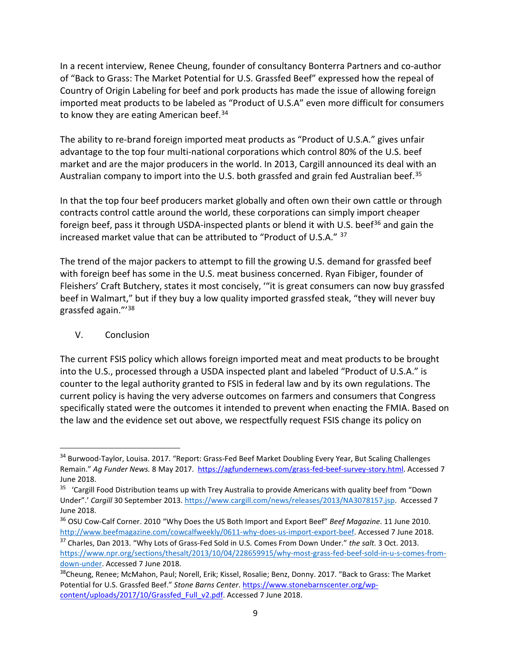Country of Origin Labeling for beef and pork products has made the issue of allowing foreign imported meat products to be labeled as "Product of U.S.A" even more difficult for consumers to know they are eating American beef.<sup>34</sup> In a recent interview, Renee Cheung, founder of consultancy Bonterra Partners and co-author of "Back to Grass: The Market Potential for U.S. Grassfed Beef" expressed how the repeal of

 advantage to the top four multi-national corporations which control 80% of the U.S. beef market and are the major producers in the world. In 2013, Cargill announced its deal with an Australian company to import into the U.S. both grassfed and grain fed Australian beef.<sup>35</sup> The ability to re-brand foreign imported meat products as "Product of U.S.A." gives unfair

 increased market value that can be attributed to "Product of U.S.A." [37](#page-9-4)  In that the top four beef producers market globally and often own their own cattle or through contracts control cattle around the world, these corporations can simply import cheaper foreign beef, pass it through USDA-inspected plants or blend it with U.S. beef<sup>[36](#page-9-3)</sup> and gain the

 beef in Walmart," but if they buy a low quality imported grassfed steak, "they will never buy The trend of the major packers to attempt to fill the growing U.S. demand for grassfed beef with foreign beef has some in the U.S. meat business concerned. Ryan Fibiger, founder of Fleishers' Craft Butchery, states it most concisely, '"it is great consumers can now buy grassfed grassfed again."'[38](#page-9-5) 

#### <span id="page-9-0"></span>V. Conclusion

 $\overline{a}$ 

 counter to the legal authority granted to FSIS in federal law and by its own regulations. The current policy is having the very adverse outcomes on farmers and consumers that Congress the law and the evidence set out above, we respectfully request FSIS change its policy on The current FSIS policy which allows foreign imported meat and meat products to be brought into the U.S., processed through a USDA inspected plant and labeled "Product of U.S.A." is specifically stated were the outcomes it intended to prevent when enacting the FMIA. Based on

<span id="page-9-1"></span> Remain." *Ag Funder News.* 8 May 2017. [https://agfundernews.com/grass-fed-beef-survey-story.html.](https://agfundernews.com/grass-fed-beef-survey-story.html) Accessed 7 <sup>34</sup> Burwood-Taylor, Louisa. 2017. "Report: Grass-Fed Beef Market Doubling Every Year, But Scaling Challenges June 2018.

<span id="page-9-2"></span><sup>&</sup>lt;sup>35</sup> 'Cargill Food Distribution teams up with Trey Australia to provide Americans with quality beef from "Down Under".' *Cargill* 30 September 2013[. https://www.cargill.com/news/releases/2013/NA3078157.jsp.](https://www.cargill.com/news/releases/2013/NA3078157.jsp) Accessed 7 June 2018.

<span id="page-9-3"></span><sup>36</sup> OSU Cow-Calf Corner. 2010 "Why Does the US Both Import and Export Beef" *Beef Magazine*. 11 June 2010. [http://www.beefmagazine.com/cowcalfweekly/0611-why-does-us-import-export-beef.](http://www.beefmagazine.com/cowcalfweekly/0611-why-does-us-import-export-beef) Accessed 7 June 2018.

<span id="page-9-4"></span><sup>&</sup>lt;sup>37</sup> Charles, Dan 2013. "Why Lots of Grass-Fed Sold in U.S. Comes From Down Under." the salt. 3 Oct. 2013. 37 Charles, Dan 2013. "Why Lots of Grass-Fed Sold in U.S. Comes From Down Under." *the salt.* 3 Oct. 2013. [https://www.npr.org/sections/thesalt/2013/10/04/228659915/why-most-grass-fed-beef-sold-in-u-s-comes-from](https://www.npr.org/sections/thesalt/2013/10/04/228659915/why-most-grass-fed-beef-sold-in-u-s-comes-from-down-under)[down-under.](https://www.npr.org/sections/thesalt/2013/10/04/228659915/why-most-grass-fed-beef-sold-in-u-s-comes-from-down-under) Accessed 7 June 2018.

<span id="page-9-5"></span><sup>&</sup>lt;sup>38</sup>Cheung, Renee; McMahon, Paul; Norell, Erik; Kissel, Rosalie; Benz, Donny. 2017. "Back to Grass: The Market Potential for U.S. Grassfed Beef." *Stone Barns Center*. [https://www.stonebarnscenter.org/wp](https://www.stonebarnscenter.org/wp-content/uploads/2017/10/Grassfed_Full_v2.pdf)[content/uploads/2017/10/Grassfed\\_Full\\_v2.pdf.](https://www.stonebarnscenter.org/wp-content/uploads/2017/10/Grassfed_Full_v2.pdf) Accessed 7 June 2018.